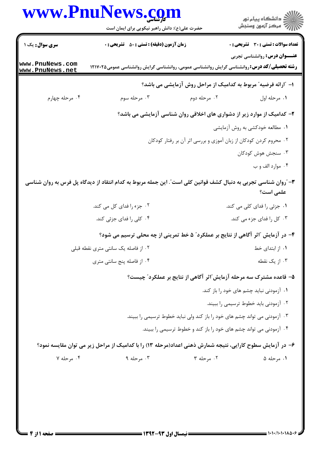|                                    | www.PnuNews.com<br>حضرت علی(ع): دانش راهبر نیکویی برای ایمان است                                                | ڪ دانشڪاه پيا <sub>م</sub> نور<br>∕ <sup>7</sup> مرڪز آزمون وسنڊش                    |  |
|------------------------------------|-----------------------------------------------------------------------------------------------------------------|--------------------------------------------------------------------------------------|--|
| <b>سری سوال :</b> یک ۱             | <b>زمان آزمون (دقیقه) : تستی : 50 ٪ تشریحی : 0</b>                                                              | <b>تعداد سوالات : تستی : 30 - تشریحی : 0</b><br><b>عنـــوان درس:</b> روانشناسی تجربی |  |
| www.PnuNews.com<br>www.PnuNews.net | <b>رشته تحصیلی/کد درس: ر</b> وانشناسی گرایش روانشناسی عمومی، روانشناسی گرایش روانشناسی عمومی1۲۱۷۰۲۵             |                                                                                      |  |
|                                    |                                                                                                                 | ا– "ارائه فرضیه" مربوط به کدامیک از مراحل روش آزمایشی می باشد؟                       |  |
| ۰۴ مرحله چهارم                     | ۰۳ مرحله سوم                                                                                                    | ۰۲ مرحله دوم<br>۰۱ مرحله اول                                                         |  |
|                                    |                                                                                                                 | ۲- کدامیک از موارد زیر از دشواری های اخلاقی روان شناسی آزمایشی می باشد؟              |  |
|                                    |                                                                                                                 | ۰۱ مطالعه خودکشی به روش آزمایشی                                                      |  |
|                                    |                                                                                                                 | ۰۲ محروم کردن کودکان از زبان آموزی و بررسی اثر آن بر رفتار کودکان                    |  |
|                                    |                                                                                                                 | ۰۳ سنجش هوش کودکان                                                                   |  |
|                                    |                                                                                                                 | ۰۴ موارد الف و ب                                                                     |  |
|                                    | ۳- آروان شناسی تجربی به دنبال کشف قوانین کلی است". این جمله مربوط به کدام انتقاد از دیدگاه پل فرس به روان شناسی | علمی است؟                                                                            |  |
|                                    | ۰۲ جزء را فدای کل می کند.                                                                                       | ۰۱ جزئی را فدای کلی می کند.                                                          |  |
|                                    | ۰۴ کلی را فدای جزئی کند.                                                                                        | ۰۳ کل را فدای جزء می کند.                                                            |  |
|                                    | ۴– در آزمایش آاثر آگاهی از نتایج بر عملکرد" ۵ خط تمرینی از چه محلی ترسیم می شود؟                                |                                                                                      |  |
|                                    | ۰۲ از فاصله یک سانتی متری نقطه قبلی                                                                             | ٠١ از ابتداى خط                                                                      |  |
|                                    | ۰۴ از فاصله پنج سانتی متری                                                                                      | ۰۳ از یک نقطه                                                                        |  |
|                                    |                                                                                                                 | ۵– قاعده مشترک سه مرحله آزمایش ّاثر آگاهی از نتایج بر عملکرد ّ چیست؟                 |  |
|                                    |                                                                                                                 | ۰۱ آزمودنی نباید چشم های خود را باز کند.                                             |  |
|                                    |                                                                                                                 | ۰۲ آزمودنی باید خطوط ترسیمی را ببیند.                                                |  |
|                                    |                                                                                                                 | ۰۳ آزمودنی می تواند چشم های خود را باز کند ولی نباید خطوط ترسیمی را ببیند.           |  |
|                                    |                                                                                                                 | ۰۴ آزمودنی می تواند چشم های خود را باز کند و خطوط ترسیمی را ببیند.                   |  |
|                                    | ۶– در آزمایش سطوح کارایی، نتیجه شمارش ذهنی اعداد(مرحله ۱۳) را با کدامیک از مراحل زیر می توان مقایسه نمود؟       |                                                                                      |  |
|                                    |                                                                                                                 |                                                                                      |  |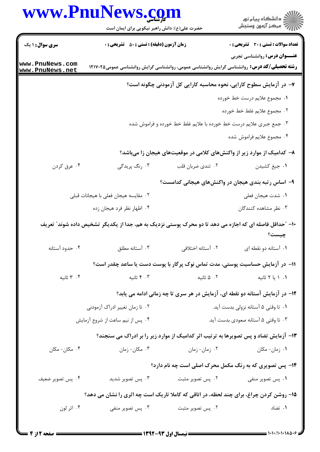|                                    | حضرت علی(ع): دانش راهبر نیکویی برای ایمان است                                                          |                                                                    | ڪ دانشڪاه پيا <sub>م</sub> نور<br>۾ سرڪز آزمون وسنڊش                         |
|------------------------------------|--------------------------------------------------------------------------------------------------------|--------------------------------------------------------------------|------------------------------------------------------------------------------|
| <b>سری سوال : ۱ یک</b>             | <b>زمان آزمون (دقیقه) : تستی : 50 ٪ تشریحی : 0</b>                                                     |                                                                    | <b>تعداد سوالات : تستی : 30 ٪ تشریحی : 0</b>                                 |
| www.PnuNews.com<br>www.PnuNews.net | <b>رشته تحصیلی/کد درس:</b> روانشناسی گرایش روانشناسی عمومی، روانشناسی گرایش روانشناسی عمومی۱۲۱۷۰۲۵     |                                                                    | <b>عنـــوان درس:</b> روانشناسی تجربی                                         |
|                                    |                                                                                                        |                                                                    | ۷– در آزمایش سطوح کارایی، نحوه محاسبه کارایی کل آزمودنی چگونه است؟           |
|                                    |                                                                                                        |                                                                    | ٠١. مجموع علايم درست خط خورده                                                |
|                                    |                                                                                                        |                                                                    | ٠٢ مجموع علايم غلط خط خورده                                                  |
|                                    |                                                                                                        | ۰۳ جمع جبری علایم درست خط خورده با علایم غلط خط خورده و فراموش شده |                                                                              |
|                                    |                                                                                                        |                                                                    | ۰۴ مجموع علايم فراموش شده                                                    |
|                                    |                                                                                                        |                                                                    | ۸– کدامیک از موارد زیر از واکنشهای کلامی در موقعیتهای هیجان زا میباشد؟       |
| ۰۴ عرق کردن                        | ۰۳ رنگ پريدگي                                                                                          | ۰۲ تندي ضربان قلب                                                  | ۰۱ جيغ کشيدن                                                                 |
|                                    |                                                                                                        |                                                                    | ۹– اساس رتبه بندی هیجان در واکنشهای هیجانی کدامست؟                           |
|                                    | ۰۲ مقایسه هیجان فعلی با هیجانات قبلی                                                                   |                                                                    | ٠١. شدت هيجان فعلي                                                           |
|                                    | ۰۴ اظهار نظر فرد هیجان زده                                                                             |                                                                    | ۰۳ نظر مشاهده کنندگان                                                        |
|                                    | ۱۰- "حداقل فاصله ای که اجازه می دهد تا دو محرک پوستی نزدیک به هم، جدا از یکدیگر تشخیص داده شوند" تعریف |                                                                    | چیست؟                                                                        |
| ۰۴ حدود آستانه                     | ۰۳ آستانه مطلق                                                                                         | ۰۲ آستانه اختلافی                                                  | ۰۱ آستانه دو نقطه ای                                                         |
|                                    | 1۱– در آزمایش حساسیت پوستی، مدت تماس نوک پرگار با پوست دست یا ساعد چقدر است؟                           |                                                                    |                                                                              |
| ۰۴ ثانیه                           | ۰۳ ثانیه                                                                                               | ۰۲ ۵ ثانیه                                                         | ۰۱ ۱ یا ۲ ثانیه                                                              |
|                                    |                                                                                                        |                                                                    | ۱۲- در آزمایش آستانه دو نقطه ای، آزمایش در هر سری تا چه زمانی ادامه می یابد؟ |
|                                    | ۰۲ تا زمان تغییر ادراک آزمودنی                                                                         |                                                                    | ۰۱ تا وقتی ۵ آستانه نزولی بدست آید.                                          |
|                                    | ۰۴ پس از نیم ساعت از شروع آزمایش                                                                       |                                                                    | ۰۳ تا وقتی ۵ آستانه صعودی بدست آید.                                          |
|                                    | ۱۳- آزمایش تضاد و پس تصویرها به ترتیب اثر کدامیک از موارد زیر را بر ادراک می سنجند؟                    |                                                                    |                                                                              |
| ۰۴ مکان- مکان                      | ۰۳ مکان- زمان                                                                                          | ۰۲ زمان-زمان                                                       | ۰۱ زمان- مکان                                                                |
|                                    |                                                                                                        |                                                                    | ۱۴- پس تصویری که به رنگ مکمل محرک اصلی است چه نام دارد؟                      |
| ۰۴ پس تصویر ضعیف                   | ۰۳ پس تصویر شدید                                                                                       | ۰۲ پس تصویر مثبت                                                   | ۰۱ پس تصویر منفی                                                             |
|                                    | ۱۵- روشن کردن چراغ، برای چند لحظه، در اتاقی که کاملا تاریک است چه اثری را نشان می دهد؟                 |                                                                    |                                                                              |
| ۰۴ اثر لون                         | ۰۳ پس تصویر منفی                                                                                       | ۰۲ پس تصویر مثبت                                                   | ۰۱ تضاد                                                                      |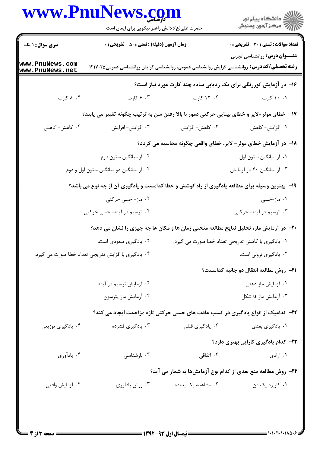|                                                                  | حضرت علی(ع): دانش راهبر نیکویی برای ایمان است                                                      |                    | ر<br>دانشڪاه پيام نور<br>√ مرڪز آزمون وسنڊش                          |  |
|------------------------------------------------------------------|----------------------------------------------------------------------------------------------------|--------------------|----------------------------------------------------------------------|--|
| <b>سری سوال : ۱ یک</b>                                           | <b>زمان آزمون (دقیقه) : تستی : 50 ٪ تشریحی : 0</b>                                                 |                    | <b>تعداد سوالات : تستی : 30 ٪ تشریحی : 0</b>                         |  |
| www.PnuNews.com<br>www.PnuNews.net                               | <b>رشته تحصیلی/کد درس:</b> روانشناسی گرایش روانشناسی عمومی، روانشناسی گرایش روانشناسی عمومی۱۲۱۷۰۲۵ |                    | <b>عنـــوان درس:</b> روانشناسی تجربی                                 |  |
|                                                                  |                                                                                                    |                    | ۱۶- در آزمایش کوررنگی برای یک ردیابی ساده چند کارت مورد نیاز است؟    |  |
| ۰۴ کارت                                                          | ۰۳ ۶ کارت                                                                                          | ۰۲ کارت            | ۰۱ ۱۰ کارت                                                           |  |
|                                                                  | ۱۷- خطای مولر-لایر و خطای بینایی حرکتی دمور با بالا رفتن سن به ترتیب چگونه تغییر می یابند؟         |                    |                                                                      |  |
| ۰۴ کاهش- کاهش                                                    | ۰۳ افزايش- افزايش                                                                                  | ۰۲ کاهش- افزایش    | ۰۱ افزایش- کاهش                                                      |  |
| ۱۸– در آزمایش خطای مولر - لایر، خطای واقعی چگونه محاسبه می گردد؟ |                                                                                                    |                    |                                                                      |  |
|                                                                  | ۰۲ از میانگین ستون دوم                                                                             |                    | ٠١. از ميانگين ستون اول                                              |  |
|                                                                  | ۰۴ از میانگین دو میانگین ستون اول و دوم                                                            |                    | ۰۳ از میانگین ۴۰ بار آزمایش                                          |  |
|                                                                  | ۱۹- بهترین وسیله برای مطالعه یادگیری از راه کوشش و خطا کدامست و یادگیری آن از چه نوع می باشد؟      |                    |                                                                      |  |
|                                                                  | ۰۲ ماز- حسی حرکتی                                                                                  |                    | ۰۱ ماز-حسی                                                           |  |
|                                                                  | ۰۴ ترسیم در آینه- حسی حرکتی                                                                        |                    | ۰۳ ترسیم در آینه- حرکتی                                              |  |
|                                                                  | +۲- در آزمایش ماز، تحلیل نتایج مطالعه منحنی زمان ها و مکان ها چه چیزی را نشان می دهد؟              |                    |                                                                      |  |
|                                                                  | ۰۲ يادگيري صعودي است.                                                                              |                    | ۰۱ يادگيري با كاهش تدريجي تعداد خطا صورت مي گيرد.                    |  |
|                                                                  | ۰۴ یادگیری با افزایش تدریجی تعداد خطا صورت می گیرد.                                                |                    | ۰۳ یادگیری نزولی است.                                                |  |
|                                                                  |                                                                                                    |                    | <b>۲۱</b> - روش مطالعه انتقال دو جانبه کدامست؟                       |  |
|                                                                  | ۰۲ آزمایش ترسیم در آینه                                                                            |                    | ۰۱ آزمایش ماز ذهنی                                                   |  |
|                                                                  | ۰۴ آزمایش ماز پترسون                                                                               |                    | ۰۳ آزمایش ماز u شکل                                                  |  |
|                                                                  | ۲۲- کدامیک از انواع یادگیری در کسب عادت های حسی حرکتی تازه مزاحمت ایجاد می کند؟                    |                    |                                                                      |  |
| ۰۴ يادگيري توزيعي                                                | ۰۳ يادگيري فشرده                                                                                   | ۰۲ يادگيري قبلي    | ۰۱ يادگيري بعدي                                                      |  |
|                                                                  |                                                                                                    |                    | ۲۳– کدام یادگیری کارایی بهتری دارد؟                                  |  |
| ۰۴ يادآوري                                                       | ۰۳ بازشناسی                                                                                        | ۰۲ اتفاقی          | ۰۱ ارادی                                                             |  |
|                                                                  |                                                                                                    |                    | <b>34</b> - روش مطالعه منع بعدی از کدام نوع آزمایشها به شمار می آید؟ |  |
| ۰۴ أزمايش واقعي                                                  | ۰۳ روش يادآوري                                                                                     | ۰۲ مشاهده یک پدیده | ۰۱ کاربرد یک فن                                                      |  |